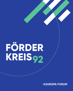# **FÖRDER KREIS92**

**MEUROPA FORUM**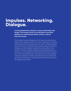# **Impulses. Networking. Dialogue.**

**A strong Switzerland requires a strong relationship with Europe. The Europa Forum is the discussion and ideas platform for connecting business, politics, science and civil society.** 

The Europa Forum looks back on a 25-year success story of constructive dialogue. With our vision "Impulses for a strong Switzerland and a strong Europe", we want to shape relationships even more intensively and broadly, promote and drive dialogue, provide impetus, inspiration and guidance, and connect interests, people, perspectives and generations. In doing so, we are guided by an annual theme, which culminates in the Annual Meeting in the autumn. The international Steering Committee and the national Executive Committee form the central basis of the Europa Forum. We are proud of the support we provide.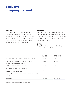# **Exclusive company network**

### **PURPOSE**

The Förderkreis 92 corporate network assumes an important community role. It promotes the exchange of best practices, provides insider knowledge and guidance vis-à-vis Europe, and helps forge personal relationships between companies.

#### **MEMBERS**

The membership comprises national and international companies, represented by their CEOs or directors. Förderkreis 92 is politically independent and neutral. The number of members is limited.

#### **CHAIR**

Förderkreis 92 is chaired by Hans Hess, former chairman of Swissmem.

|                                                                               | <b>BASIC</b> | <b>PREMIUM</b> |
|-------------------------------------------------------------------------------|--------------|----------------|
| Free admission to the Europa Forum (FK92 package)                             | 1 pers.      | 2 pers.        |
| Special events for FK92 members and quests<br>Meeting during the Europa Forum | 1 pers.      | 2 pers.        |
| FK92 On Tour events: 1 to 2 per year                                          | 1 pers.      | 2 pers.        |
| Online member area with member directory                                      |              |                |
| FK92 newsletter: 3x per year                                                  |              |                |
| Logo on offline and online marketing activities under FK92<br>heading         |              |                |
| Annual fee                                                                    | CHF 2'500    | CHF 4'500      |
|                                                                               |              |                |

Förderkreis 92 is not a legal entity in its own right.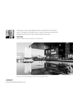

«Europe is a senior management issue, especially for the export sector. Through the Europa Forum, I want to promote constructive dialogue and thus drive this unique platform forward.»

### **HANS HESS**

Chair of FK92, former chairman of Swissmem



Location of the Annual Meeting: the KKL Luzern, a premier venue.

### **CONTACT** foerderkreis@europaforum.ch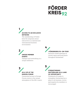# **FÖRDER KREIS92**

### **1 ACCESS TO AN EXCLUSIVE NETWORK**

The membership of Förderkreis 92 comprises senior executives in a national and international business environment.

## **2 UNIQUE MEMBER EVENTS**

Dialogue and networking in a unique ambience.

# **«FÖRDERKREIS 92» ON-TOUR**

 **4**

Exclusive closed meetings on current topics and focal points throughout Switzerland.

# **<sup>3</sup><sup>5</sup> AS A VIP AT THE EUROPA FORUM**

Guaranteed access to Europa Forum events in the unique atmosphere of the KKL Luzern.

### **STRENGTHENING SWITZERLAND AS A LAND OF OPPORTUNITY**

Förderkreis 92 seeks to strengthen Switzerland as a place to do business. Active participation by members is encouraged.